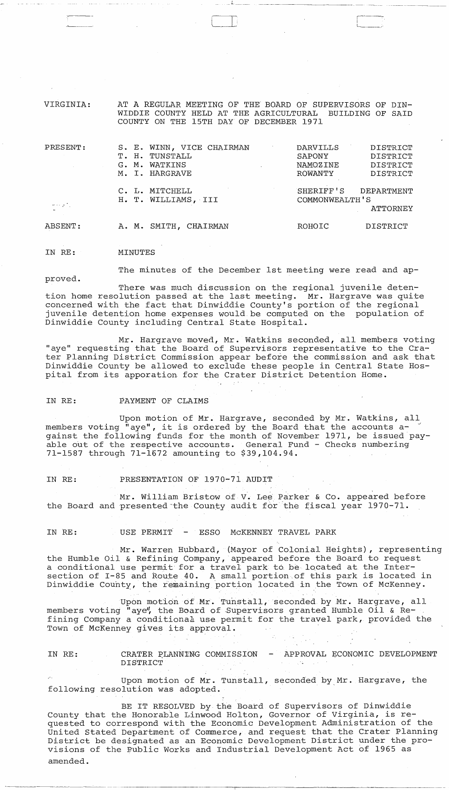VIRGINIA: AT A REGULAR MEETING OF THE BOARD OF SUPERVISORS OF DIN-WIDDIE COUNTY HELD AT THE AGRICULTURAL BUILDING OF SAID COUNTY ON THE 15TH DAY OF DECEMBER 1971

| PRESENT:        | S. E. WINN, VICE CHAIRMAN<br>TUNSTALL<br>T. H.<br>WATKINS<br>$G \cdot M$ . | DARVILLS<br>DISTRICT<br>DISTRICT<br>SAPONY<br>DISTRICT<br>NAMOZINE |
|-----------------|----------------------------------------------------------------------------|--------------------------------------------------------------------|
|                 | M. I. HARGRAVE<br>C. L. MITCHELL                                           | DISTRICT<br>ROWANTY<br>SHERIFF'S<br>DEPARTMENT                     |
| الركاح والمحاجب | H. T. WILLIAMS, III                                                        | COMMONWEALTH'S<br>ATTORNEY                                         |
| ABSENT:         | A. M. SMITH.<br>CHAIRMAN                                                   | DISTRICT<br>ROHOIC                                                 |

IN RE: MINUTES

proved.

The minutes of the December 1st meeting were read and ap-

There was much discussion on the regional juvenile detention home resolution passed at the last meeting. Mr. Hargrave was quite concerned with the fact that Dinwiddie County's portion of the regional juvenile detention home expenses would be computed on the population of Dinwiddie County including central State Hospital.

Mr. Hargrave moved, Mr. Watkins seconded, all members voting "aye" requesting that the Board of Supervisors representative to the Crater Planning District Commission appear before the commission and ask that Dinwiddie County be allowed to exclude these people in Central State Hospital from its apporation for the Crater District Detention Home.

IN RE: PAYMENT OF CLAIMS

Upon motion of Mr. Hargrave, seconded by Mr. Watkins, all members voting "aye", it is ordered by the Board that the accounts against the following funds for the month of November 1971, be issued payable out of the respective accounts. General Fund - Checks numbering 71-1587 through 71-1672 amounting to \$39,104.94.

IN RE: PRESENTATION OF 1970-71 AUDIT

Mr. William Bristow of V. Lee Parker & Co. appeared before the Board and presented the County audit for the fiscal year 1970-71.

IN RE: USE PERMIT - ESSO MCKENNEY TRAVEL PARK

Mr. Warren Hubbard, (Mayor of Colonial Heights), representing the Humble Oil & Refining Company, appeared before the Board to request a conditional use permit for a travel park to be located at the Intersection of I-85 and Route 40. A small portion of this park is located in Dinwiddie County, the remaining portion located in the Town of McKenney.

Upon motion of Mr. Tunstall, seconded by Mr. Hargrave, all members voting "aye", the Board of Supervisors granted Humble Oil & Refining Company a conditiona1 use permit for the travel park, provided the Town of McKenney gives its approval.

IN RE: CRATER PLANNING COMMISSION APPROVAL ECONOMIC DEVELOPMENT DISTRICT  $\label{eq:2.1} \mathcal{L} = \mathcal{L} \left( \mathcal{L} \right) \left( \mathcal{L} \right) = \mathcal{L} \left( \mathcal{L} \right) \left( \mathcal{L} \right)$ 

Upon motion of Mr. Tunstall, seconded by Mr. Hargrave, the following resolution was adopted.

BE IT RESOLVED by the Board of Supervisors of Dinwiddie County that the Honorable Linwood Holton, Governor of Virginia, is requested to correspond with the Economic Development Administration of the United Stated Department of Commerce, and request that the Crater Planning District be designated as an Economic Development District under the provisions of the Public Works and Industrial Development Act of 1965 as amended.